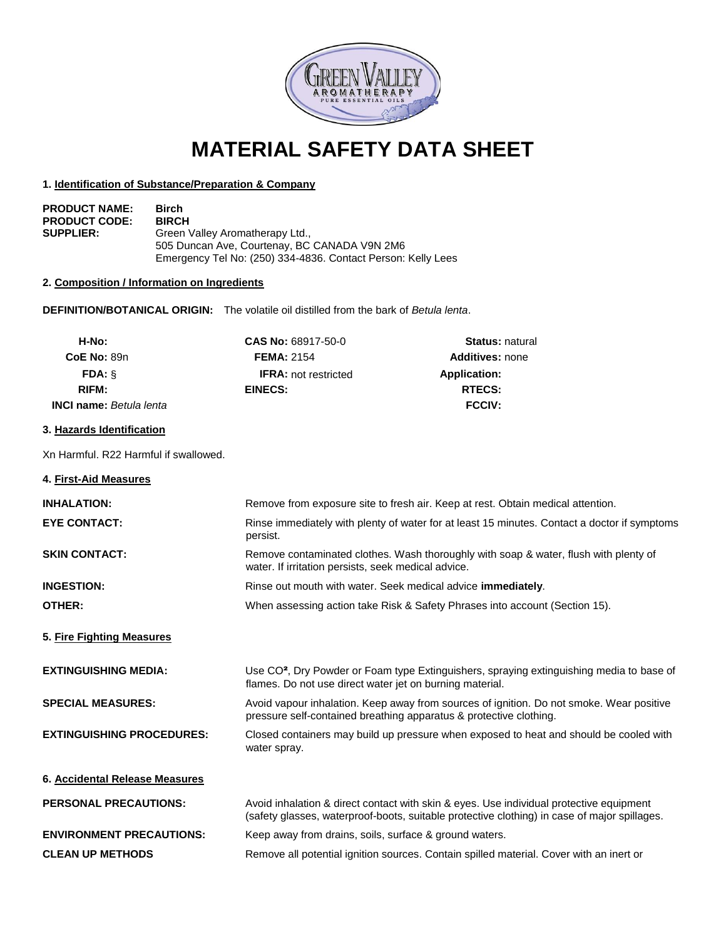

# **MATERIAL SAFETY DATA SHEET**

## **1. Identification of Substance/Preparation & Company**

| <b>PRODUCT NAME:</b> | <b>Birch</b>                                                 |
|----------------------|--------------------------------------------------------------|
| <b>PRODUCT CODE:</b> | <b>BIRCH</b>                                                 |
| <b>SUPPLIER:</b>     | Green Valley Aromatherapy Ltd.,                              |
|                      | 505 Duncan Ave, Courtenay, BC CANADA V9N 2M6                 |
|                      | Emergency Tel No: (250) 334-4836. Contact Person: Kelly Lees |

## **2. Composition / Information on Ingredients**

**DEFINITION/BOTANICAL ORIGIN:** The volatile oil distilled from the bark of *Betula lenta*.

| H-No:                          | <b>CAS No: 68917-50-0</b>   | <b>Status: natural</b> |
|--------------------------------|-----------------------------|------------------------|
| <b>CoE No: 89n</b>             | <b>FEMA: 2154</b>           | <b>Additives: none</b> |
| $FDA: \S$                      | <b>IFRA:</b> not restricted | <b>Application:</b>    |
| RIFM:                          | EINECS:                     | <b>RTECS:</b>          |
| <b>INCI name:</b> Betula lenta |                             | <b>FCCIV:</b>          |

# **3. Hazards Identification**

Xn Harmful. R22 Harmful if swallowed.

| 4. First-Aid Measures            |                                                                                                                                                                                         |
|----------------------------------|-----------------------------------------------------------------------------------------------------------------------------------------------------------------------------------------|
| <b>INHALATION:</b>               | Remove from exposure site to fresh air. Keep at rest. Obtain medical attention.                                                                                                         |
| <b>EYE CONTACT:</b>              | Rinse immediately with plenty of water for at least 15 minutes. Contact a doctor if symptoms<br>persist.                                                                                |
| <b>SKIN CONTACT:</b>             | Remove contaminated clothes. Wash thoroughly with soap & water, flush with plenty of<br>water. If irritation persists, seek medical advice.                                             |
| <b>INGESTION:</b>                | Rinse out mouth with water. Seek medical advice immediately.                                                                                                                            |
| OTHER:                           | When assessing action take Risk & Safety Phrases into account (Section 15).                                                                                                             |
| 5. Fire Fighting Measures        |                                                                                                                                                                                         |
| <b>EXTINGUISHING MEDIA:</b>      | Use CO <sup>2</sup> , Dry Powder or Foam type Extinguishers, spraying extinguishing media to base of<br>flames. Do not use direct water jet on burning material.                        |
| <b>SPECIAL MEASURES:</b>         | Avoid vapour inhalation. Keep away from sources of ignition. Do not smoke. Wear positive<br>pressure self-contained breathing apparatus & protective clothing.                          |
| <b>EXTINGUISHING PROCEDURES:</b> | Closed containers may build up pressure when exposed to heat and should be cooled with<br>water spray.                                                                                  |
| 6. Accidental Release Measures   |                                                                                                                                                                                         |
| <b>PERSONAL PRECAUTIONS:</b>     | Avoid inhalation & direct contact with skin & eyes. Use individual protective equipment<br>(safety glasses, waterproof-boots, suitable protective clothing) in case of major spillages. |
| <b>ENVIRONMENT PRECAUTIONS:</b>  | Keep away from drains, soils, surface & ground waters.                                                                                                                                  |
| <b>CLEAN UP METHODS</b>          | Remove all potential ignition sources. Contain spilled material. Cover with an inert or                                                                                                 |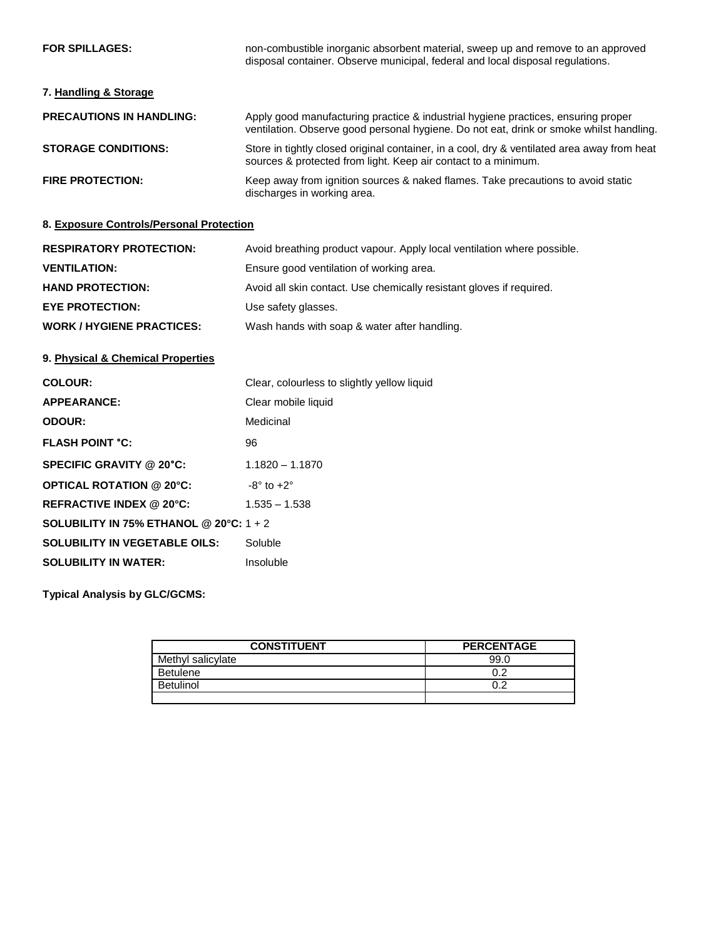| <b>FOR SPILLAGES:</b>           | non-combustible inorganic absorbent material, sweep up and remove to an approved<br>disposal container. Observe municipal, federal and local disposal regulations.           |
|---------------------------------|------------------------------------------------------------------------------------------------------------------------------------------------------------------------------|
| 7. Handling & Storage           |                                                                                                                                                                              |
| <b>PRECAUTIONS IN HANDLING:</b> | Apply good manufacturing practice & industrial hygiene practices, ensuring proper<br>ventilation. Observe good personal hygiene. Do not eat, drink or smoke whilst handling. |
| <b>STORAGE CONDITIONS:</b>      | Store in tightly closed original container, in a cool, dry & ventilated area away from heat<br>sources & protected from light. Keep air contact to a minimum.                |
| <b>FIRE PROTECTION:</b>         | Keep away from ignition sources & naked flames. Take precautions to avoid static<br>discharges in working area.                                                              |

# **8. Exposure Controls/Personal Protection**

| <b>RESPIRATORY PROTECTION:</b> | Avoid breathing product vapour. Apply local ventilation where possible. |
|--------------------------------|-------------------------------------------------------------------------|
| <b>VENTILATION:</b>            | Ensure good ventilation of working area.                                |
| <b>HAND PROTECTION:</b>        | Avoid all skin contact. Use chemically resistant gloves if required.    |
| <b>EYE PROTECTION:</b>         | Use safety glasses.                                                     |
| <b>WORK/HYGIENE PRACTICES:</b> | Wash hands with soap & water after handling.                            |

# **9. Physical & Chemical Properties**

| <b>COLOUR:</b>                          | Clear, colourless to slightly yellow liquid |  |
|-----------------------------------------|---------------------------------------------|--|
| <b>APPEARANCE:</b>                      | Clear mobile liquid                         |  |
| ODOUR:                                  | Medicinal                                   |  |
| <b>FLASH POINT °C:</b>                  | 96                                          |  |
| SPECIFIC GRAVITY @ 20°C:                | $1.1820 - 1.1870$                           |  |
| <b>OPTICAL ROTATION @ 20°C:</b>         | $-8^\circ$ to $+2^\circ$                    |  |
| REFRACTIVE INDEX @ 20°C:                | $1.535 - 1.538$                             |  |
| SOLUBILITY IN 75% ETHANOL @ 20°C: 1 + 2 |                                             |  |
| <b>SOLUBILITY IN VEGETABLE OILS:</b>    | Soluble                                     |  |
| <b>SOLUBILITY IN WATER:</b>             | Insoluble                                   |  |
|                                         |                                             |  |

**Typical Analysis by GLC/GCMS:**

| <b>CONSTITUENT</b> | <b>PERCENTAGE</b> |
|--------------------|-------------------|
| Methyl salicylate  | 99.0              |
| <b>Betulene</b>    |                   |
| <b>Betulinol</b>   |                   |
|                    |                   |